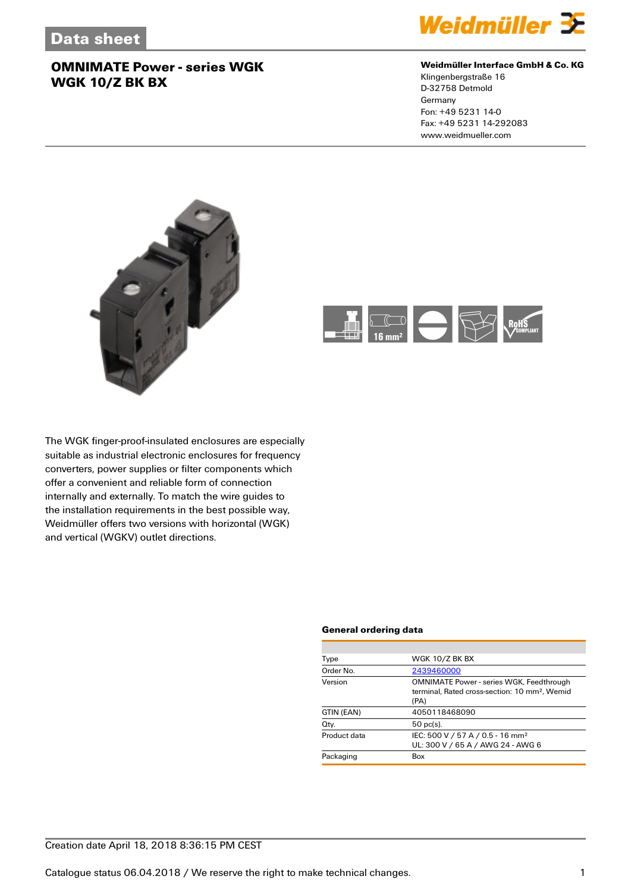

## **Weidmüller Interface GmbH & Co. KG**

Klingenbergstraße 16 D-32758 Detmold Germany Fon: +49 5231 14-0 Fax: +49 5231 14-292083 www.weidmueller.com





The WGK finger-proof-insulated enclosures are especially suitable as industrial electronic enclosures for frequency converters, power supplies or filter components which offer a convenient and reliable form of connection internally and externally. To match the wire guides to the installation requirements in the best possible way, Weidmüller offers two versions with horizontal (WGK) and vertical (WGKV) outlet directions.

#### **General ordering data**

| Type         | <b>WGK 10/Z BK BX</b>                                                                                                |  |  |
|--------------|----------------------------------------------------------------------------------------------------------------------|--|--|
| Order No.    | 2439460000                                                                                                           |  |  |
| Version      | <b>OMNIMATE Power - series WGK, Feedthrough</b><br>terminal. Rated cross-section: 10 mm <sup>2</sup> . Wemid<br>(PA) |  |  |
| GTIN (EAN)   | 4050118468090                                                                                                        |  |  |
| Qty.         | $50$ pc(s).                                                                                                          |  |  |
| Product data | IEC: 500 V / 57 A / 0.5 - 16 mm <sup>2</sup><br>UL: 300 V / 65 A / AWG 24 - AWG 6                                    |  |  |
| Packaging    | Box                                                                                                                  |  |  |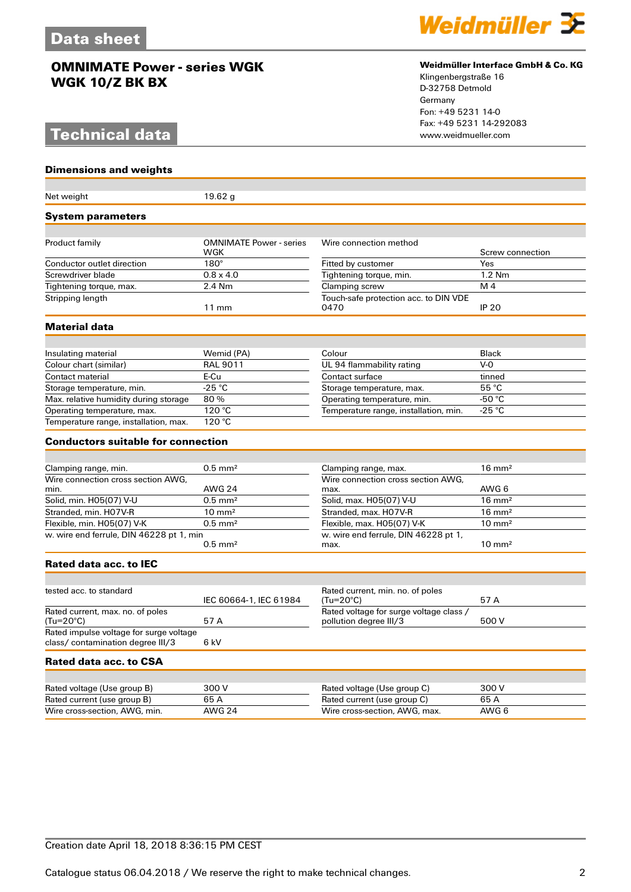# **Technical data**

**Dimensions and weights**



#### **Weidmüller Interface GmbH & Co. KG**

Klingenbergstraße 16 D-32758 Detmold Germany Fon: +49 5231 14-0 Fax: +49 5231 14-292083

| Net weight                                    | 19.62 g                        |                                                                   |                   |
|-----------------------------------------------|--------------------------------|-------------------------------------------------------------------|-------------------|
| <b>System parameters</b>                      |                                |                                                                   |                   |
| Product family                                | <b>OMNIMATE Power - series</b> | Wire connection method                                            |                   |
|                                               | WGK                            |                                                                   | Screw connection  |
| Conductor outlet direction                    | $180^\circ$                    | Fitted by customer                                                | Yes               |
| Screwdriver blade                             | $0.8 \times 4.0$               | Tightening torque, min.                                           | $1.2$ Nm          |
| Tightening torque, max.                       | 2.4 Nm                         | Clamping screw                                                    | M <sub>4</sub>    |
| Stripping length                              | $11 \text{ mm}$                | Touch-safe protection acc. to DIN VDE<br>0470                     | <b>IP 20</b>      |
| Material data                                 |                                |                                                                   |                   |
|                                               |                                |                                                                   |                   |
| Insulating material                           | Wemid (PA)                     | Colour                                                            | <b>Black</b>      |
| Colour chart (similar)                        | <b>RAL 9011</b>                | UL 94 flammability rating                                         | $V - 0$           |
| Contact material                              | E-Cu                           | Contact surface                                                   | tinned            |
| Storage temperature, min.                     | $-25 °C$                       | Storage temperature, max.                                         | 55 °C             |
| Max. relative humidity during storage         | 80%                            | Operating temperature, min.                                       | -50 °C            |
| Operating temperature, max.                   | 120 °C                         | Temperature range, installation, min.                             | -25 °C            |
| Temperature range, installation, max.         | 120 °C                         |                                                                   |                   |
| <b>Conductors suitable for connection</b>     |                                |                                                                   |                   |
|                                               |                                |                                                                   |                   |
| Clamping range, min.                          | $0.5$ mm <sup>2</sup>          | Clamping range, max.                                              | $16 \text{ mm}^2$ |
| Wire connection cross section AWG.            |                                | Wire connection cross section AWG.                                |                   |
| min.                                          | <b>AWG 24</b>                  | max.                                                              | AWG 6             |
| Solid, min. H05(07) V-U                       | $0.5$ mm <sup>2</sup>          | Solid, max. H05(07) V-U                                           | $16 \text{ mm}^2$ |
| Stranded, min. H07V-R                         | $10 \text{ mm}^2$              | Stranded, max. H07V-R                                             | $16 \text{ mm}^2$ |
| Flexible, min. H05(07) V-K                    | $0.5$ mm <sup>2</sup>          | Flexible, max. H05(07) V-K                                        | $10 \text{ mm}^2$ |
| w. wire end ferrule, DIN 46228 pt 1, min      | $0.5$ mm <sup>2</sup>          | w. wire end ferrule, DIN 46228 pt 1,<br>max.                      | $10 \text{ mm}^2$ |
| <b>Rated data acc. to IEC</b>                 |                                |                                                                   |                   |
|                                               |                                |                                                                   |                   |
| tested acc. to standard                       | IEC 60664-1, IEC 61984         | Rated current, min. no. of poles<br>(Tu=20°C)                     | 57 A              |
| Rated current, max. no. of poles<br>(Tu=20°C) | 57A                            | Rated voltage for surge voltage class /<br>pollution degree III/3 | 500 V             |
| Rated impulse voltage for surge voltage       |                                |                                                                   |                   |
| class/ contamination degree III/3             | 6 kV                           |                                                                   |                   |
| Rated data acc. to CSA                        |                                |                                                                   |                   |
|                                               |                                |                                                                   |                   |
| Rated voltage (Use group B)                   | 300 V                          | Rated voltage (Use group C)                                       | 300 V             |
| Rated current (use group B)                   | 65A                            | Rated current (use group C)                                       | 65 A              |
| Wire cross-section, AWG, min.                 | <b>AWG 24</b>                  | Wire cross-section, AWG, max.                                     | AWG 6             |
|                                               |                                |                                                                   |                   |

Creation date April 18, 2018 8:36:15 PM CEST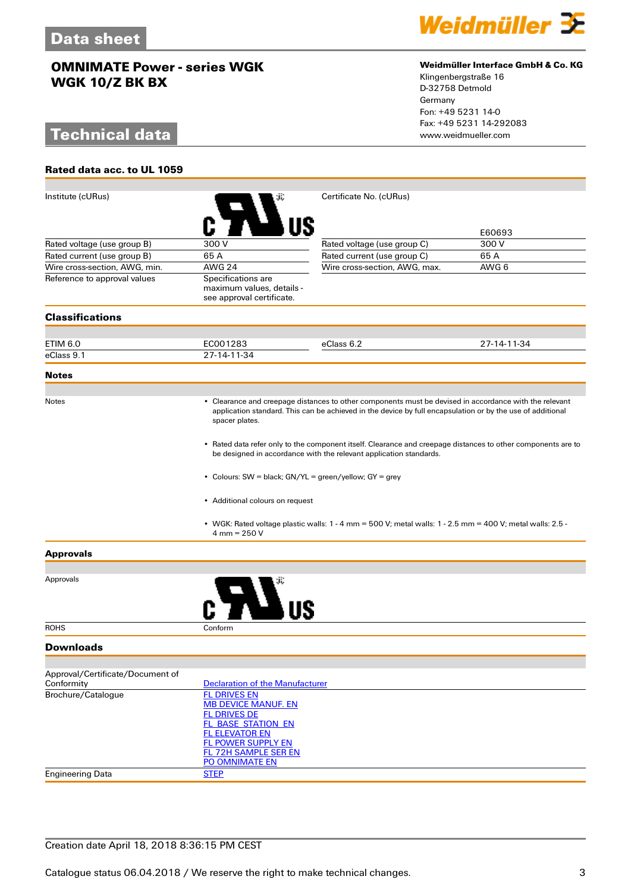# **Technical data**

**Rated data acc. to UL 1059**



### **Weidmüller Interface GmbH & Co. KG**

Klingenbergstraße 16 D-32758 Detmold Germany Fon: +49 5231 14-0 Fax: +49 5231 14-292083

| Institute (cURus)                              |                                                                                                                                                                                                                                              | Certificate No. (cURus)                                                                                       |             |  |  |
|------------------------------------------------|----------------------------------------------------------------------------------------------------------------------------------------------------------------------------------------------------------------------------------------------|---------------------------------------------------------------------------------------------------------------|-------------|--|--|
|                                                |                                                                                                                                                                                                                                              |                                                                                                               |             |  |  |
|                                                |                                                                                                                                                                                                                                              |                                                                                                               | E60693      |  |  |
| Rated voltage (use group B)                    | 300 V                                                                                                                                                                                                                                        | Rated voltage (use group C)                                                                                   | 300 V       |  |  |
| Rated current (use group B)                    | 65A                                                                                                                                                                                                                                          | Rated current (use group C)                                                                                   | 65 A        |  |  |
| Wire cross-section, AWG, min.                  | <b>AWG 24</b>                                                                                                                                                                                                                                | Wire cross-section, AWG, max.                                                                                 | AWG 6       |  |  |
| Reference to approval values                   | Specifications are<br>maximum values, details -<br>see approval certificate.                                                                                                                                                                 |                                                                                                               |             |  |  |
| <b>Classifications</b>                         |                                                                                                                                                                                                                                              |                                                                                                               |             |  |  |
|                                                |                                                                                                                                                                                                                                              |                                                                                                               |             |  |  |
| ETIM 6.0                                       | EC001283                                                                                                                                                                                                                                     | eClass 6.2                                                                                                    | 27-14-11-34 |  |  |
| eClass 9.1                                     | 27-14-11-34                                                                                                                                                                                                                                  |                                                                                                               |             |  |  |
| <b>Notes</b>                                   |                                                                                                                                                                                                                                              |                                                                                                               |             |  |  |
| Notes                                          |                                                                                                                                                                                                                                              |                                                                                                               |             |  |  |
|                                                | • Clearance and creepage distances to other components must be devised in accordance with the relevant<br>application standard. This can be achieved in the device by full encapsulation or by the use of additional<br>spacer plates.       |                                                                                                               |             |  |  |
|                                                | • Rated data refer only to the component itself. Clearance and creepage distances to other components are to<br>be designed in accordance with the relevant application standards.<br>• Colours: SW = black; GN/YL = green/yellow; GY = grey |                                                                                                               |             |  |  |
|                                                |                                                                                                                                                                                                                                              |                                                                                                               |             |  |  |
|                                                | • Additional colours on request                                                                                                                                                                                                              |                                                                                                               |             |  |  |
|                                                | $4 \text{ mm} = 250 \text{ V}$                                                                                                                                                                                                               | • WGK: Rated voltage plastic walls: $1 - 4$ mm = 500 V; metal walls: $1 - 2.5$ mm = 400 V; metal walls: 2.5 - |             |  |  |
| <b>Approvals</b>                               |                                                                                                                                                                                                                                              |                                                                                                               |             |  |  |
|                                                |                                                                                                                                                                                                                                              |                                                                                                               |             |  |  |
| Approvals                                      |                                                                                                                                                                                                                                              |                                                                                                               |             |  |  |
| <b>ROHS</b>                                    | Conform                                                                                                                                                                                                                                      |                                                                                                               |             |  |  |
| <b>Downloads</b>                               |                                                                                                                                                                                                                                              |                                                                                                               |             |  |  |
|                                                |                                                                                                                                                                                                                                              |                                                                                                               |             |  |  |
| Approval/Certificate/Document of<br>Conformity | <b>Declaration of the Manufacturer</b>                                                                                                                                                                                                       |                                                                                                               |             |  |  |
| Brochure/Catalogue                             | <b>FL DRIVES EN</b>                                                                                                                                                                                                                          |                                                                                                               |             |  |  |
|                                                | <b>MB DEVICE MANUF. EN</b>                                                                                                                                                                                                                   |                                                                                                               |             |  |  |
|                                                | <b>FL DRIVES DE</b><br><b>FL_BASE_STATION_EN</b>                                                                                                                                                                                             |                                                                                                               |             |  |  |
|                                                | <b>FL ELEVATOR EN</b>                                                                                                                                                                                                                        |                                                                                                               |             |  |  |
|                                                | <b>FL POWER SUPPLY EN</b>                                                                                                                                                                                                                    |                                                                                                               |             |  |  |
|                                                | <b>FL 72H SAMPLE SER EN</b><br>PO OMNIMATE EN                                                                                                                                                                                                |                                                                                                               |             |  |  |
| <b>Engineering Data</b>                        | <b>STEP</b>                                                                                                                                                                                                                                  |                                                                                                               |             |  |  |
|                                                |                                                                                                                                                                                                                                              |                                                                                                               |             |  |  |

## Creation date April 18, 2018 8:36:15 PM CEST

Catalogue status 06.04.2018 / We reserve the right to make technical changes. 33